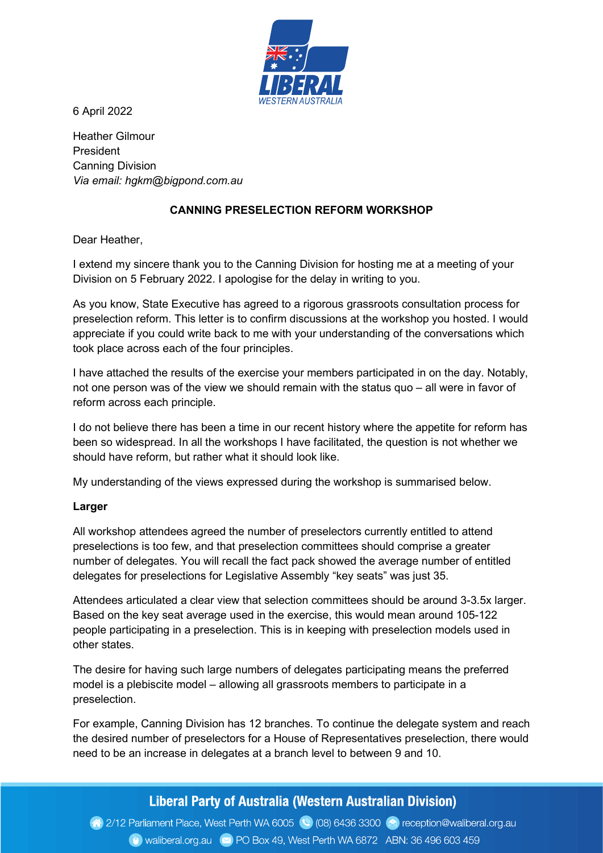

6 April 2022

Heather Gilmour President Canning Division Via email: hgkm@bigpond.com.au

## CANNING PRESELECTION REFORM WORKSHOP

Dear Heather,

I extend my sincere thank you to the Canning Division for hosting me at a meeting of your Division on 5 February 2022. I apologise for the delay in writing to you.

As you know, State Executive has agreed to a rigorous grassroots consultation process for preselection reform. This letter is to confirm discussions at the workshop you hosted. I would appreciate if you could write back to me with your understanding of the conversations which took place across each of the four principles.

I have attached the results of the exercise your members participated in on the day. Notably, not one person was of the view we should remain with the status quo – all were in favor of reform across each principle.

I do not believe there has been a time in our recent history where the appetite for reform has been so widespread. In all the workshops I have facilitated, the question is not whether we should have reform, but rather what it should look like.

My understanding of the views expressed during the workshop is summarised below.

## Larger

All workshop attendees agreed the number of preselectors currently entitled to attend preselections is too few, and that preselection committees should comprise a greater number of delegates. You will recall the fact pack showed the average number of entitled delegates for preselections for Legislative Assembly "key seats" was just 35.

Attendees articulated a clear view that selection committees should be around 3-3.5x larger. Based on the key seat average used in the exercise, this would mean around 105-122 people participating in a preselection. This is in keeping with preselection models used in other states.

The desire for having such large numbers of delegates participating means the preferred model is a plebiscite model – allowing all grassroots members to participate in a preselection.

For example, Canning Division has 12 branches. To continue the delegate system and reach the desired number of preselectors for a House of Representatives preselection, there would need to be an increase in delegates at a branch level to between 9 and 10.

# Liberal Party of Australia (Western Australian Division)

2/12 Parliament Place, West Perth WA 6005 (2) (08) 6436 3300 (2) reception@waliberal.org.au Waliberal.org.au x PO Box 49, West Perth WA 6872 ABN: 36 496 603 459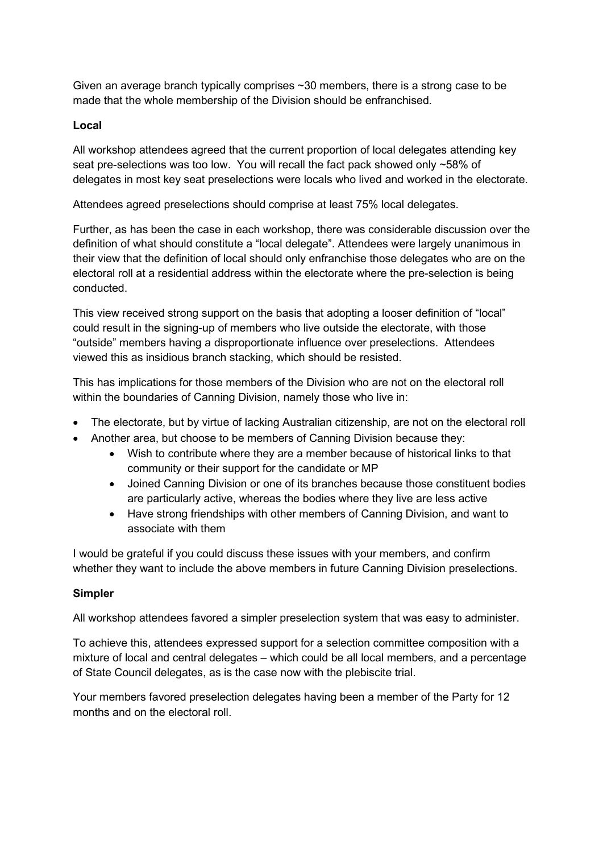Given an average branch typically comprises ~30 members, there is a strong case to be made that the whole membership of the Division should be enfranchised.

## Local

All workshop attendees agreed that the current proportion of local delegates attending key seat pre-selections was too low. You will recall the fact pack showed only ~58% of delegates in most key seat preselections were locals who lived and worked in the electorate.

Attendees agreed preselections should comprise at least 75% local delegates.

Further, as has been the case in each workshop, there was considerable discussion over the definition of what should constitute a "local delegate". Attendees were largely unanimous in their view that the definition of local should only enfranchise those delegates who are on the electoral roll at a residential address within the electorate where the pre-selection is being conducted.

This view received strong support on the basis that adopting a looser definition of "local" could result in the signing-up of members who live outside the electorate, with those "outside" members having a disproportionate influence over preselections. Attendees viewed this as insidious branch stacking, which should be resisted.

This has implications for those members of the Division who are not on the electoral roll within the boundaries of Canning Division, namely those who live in:

- The electorate, but by virtue of lacking Australian citizenship, are not on the electoral roll
- Another area, but choose to be members of Canning Division because they:
	- Wish to contribute where they are a member because of historical links to that community or their support for the candidate or MP
	- Joined Canning Division or one of its branches because those constituent bodies are particularly active, whereas the bodies where they live are less active
	- Have strong friendships with other members of Canning Division, and want to associate with them

I would be grateful if you could discuss these issues with your members, and confirm whether they want to include the above members in future Canning Division preselections.

## Simpler

All workshop attendees favored a simpler preselection system that was easy to administer.

To achieve this, attendees expressed support for a selection committee composition with a mixture of local and central delegates – which could be all local members, and a percentage of State Council delegates, as is the case now with the plebiscite trial.

Your members favored preselection delegates having been a member of the Party for 12 months and on the electoral roll.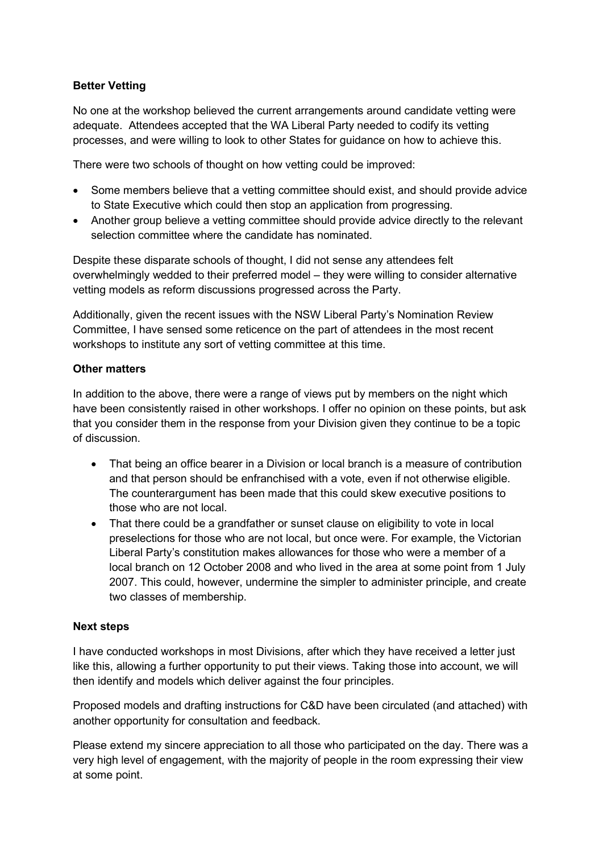## Better Vetting

No one at the workshop believed the current arrangements around candidate vetting were adequate. Attendees accepted that the WA Liberal Party needed to codify its vetting processes, and were willing to look to other States for guidance on how to achieve this.

There were two schools of thought on how vetting could be improved:

- Some members believe that a vetting committee should exist, and should provide advice to State Executive which could then stop an application from progressing.
- Another group believe a vetting committee should provide advice directly to the relevant selection committee where the candidate has nominated.

Despite these disparate schools of thought, I did not sense any attendees felt overwhelmingly wedded to their preferred model – they were willing to consider alternative vetting models as reform discussions progressed across the Party.

Additionally, given the recent issues with the NSW Liberal Party's Nomination Review Committee, I have sensed some reticence on the part of attendees in the most recent workshops to institute any sort of vetting committee at this time.

#### Other matters

In addition to the above, there were a range of views put by members on the night which have been consistently raised in other workshops. I offer no opinion on these points, but ask that you consider them in the response from your Division given they continue to be a topic of discussion.

- That being an office bearer in a Division or local branch is a measure of contribution and that person should be enfranchised with a vote, even if not otherwise eligible. The counterargument has been made that this could skew executive positions to those who are not local.
- That there could be a grandfather or sunset clause on eligibility to vote in local preselections for those who are not local, but once were. For example, the Victorian Liberal Party's constitution makes allowances for those who were a member of a local branch on 12 October 2008 and who lived in the area at some point from 1 July 2007. This could, however, undermine the simpler to administer principle, and create two classes of membership.

#### Next steps

I have conducted workshops in most Divisions, after which they have received a letter just like this, allowing a further opportunity to put their views. Taking those into account, we will then identify and models which deliver against the four principles.

Proposed models and drafting instructions for C&D have been circulated (and attached) with another opportunity for consultation and feedback.

Please extend my sincere appreciation to all those who participated on the day. There was a very high level of engagement, with the majority of people in the room expressing their view at some point.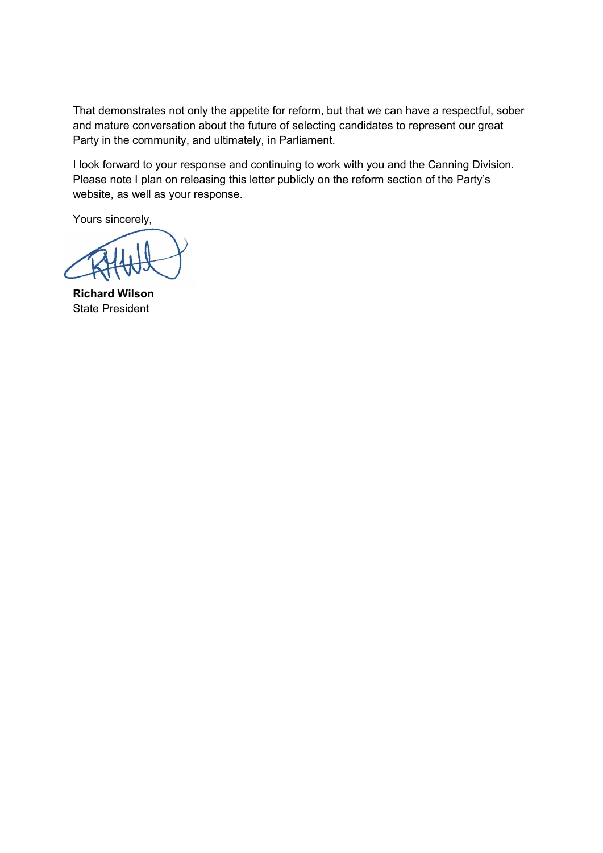That demonstrates not only the appetite for reform, but that we can have a respectful, sober and mature conversation about the future of selecting candidates to represent our great Party in the community, and ultimately, in Parliament.

I look forward to your response and continuing to work with you and the Canning Division. Please note I plan on releasing this letter publicly on the reform section of the Party's website, as well as your response.

Yours sincerely,

Richard Wilson State President